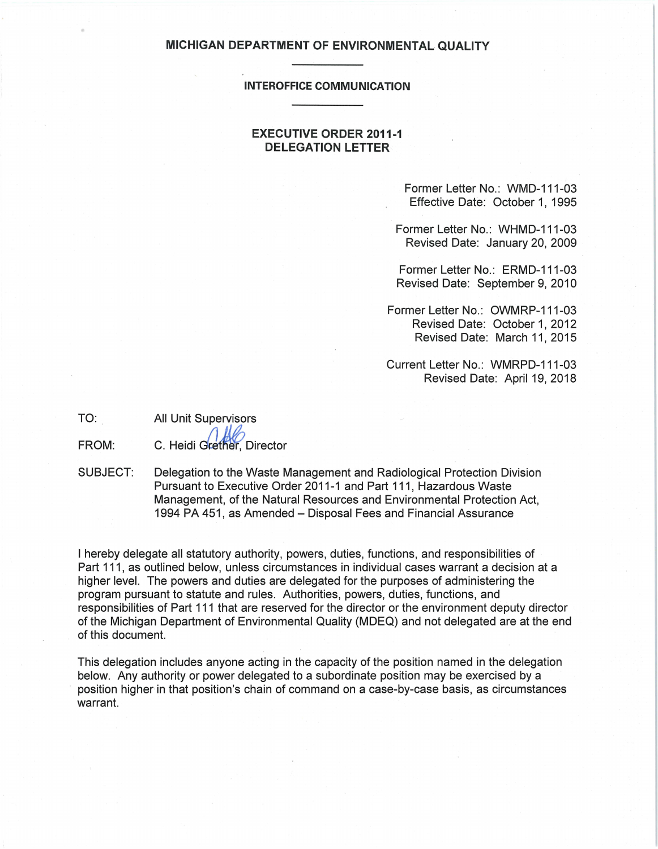#### **MICHIGAN DEPARTMENT OF ENVIRONMENTAL QUALITY**

#### **INTEROFFICE COMMUNICATION**

### **EXECUTIVE ORDER 2011-1 DELEGATION LETTER**

Former Letter No.: WMD-111-03 Effective Date: October 1, 1995

Former Letter No.: WHMD-111-03 Revised Date: January 20, 2009

Former Letter No.: ERMD-111-03 Revised Date: September 9, 2010

Former Letter No.: OWMRP-111-03 Revised Date: October 1, 2012 Revised Date: March 11, 2015

Current Letter No.: WMRPD-111-03 Revised Date: April 19, 2018

TO: All Unit Supervisors

•

FROM: C. Heidi Grether, Director

SUBJECT: Delegation to the Waste Management and Radiological Protection Division Pursuant to Executive Order 2011-1 and Part 111, Hazardous Waste Management, of the Natural Resources and Environmental Protection Act, 1994 PA 451, as Amended- Disposal Fees and Financial Assurance

I hereby delegate all statutory authority, powers, duties, functions, and responsibilities of Part 111, as outlined below, unless circumstances in individual cases warrant a decision at a higher level. The powers and duties are delegated for the purposes of administering the program pursuant to statute and rules. Authorities, powers, duties, functions, and responsibilities of Part 111 that are reserved for the director or the environment deputy director of the Michigan Department of Environmental Quality (MDEQ) and not delegated are at the end of this document.

This delegation includes anyone acting in the capacity of the position named in the delegation below. Any authority or power delegated to a subordinate position may be exercised by a position higher in that position's chain of command on a case-by-case basis, as circumstances warrant.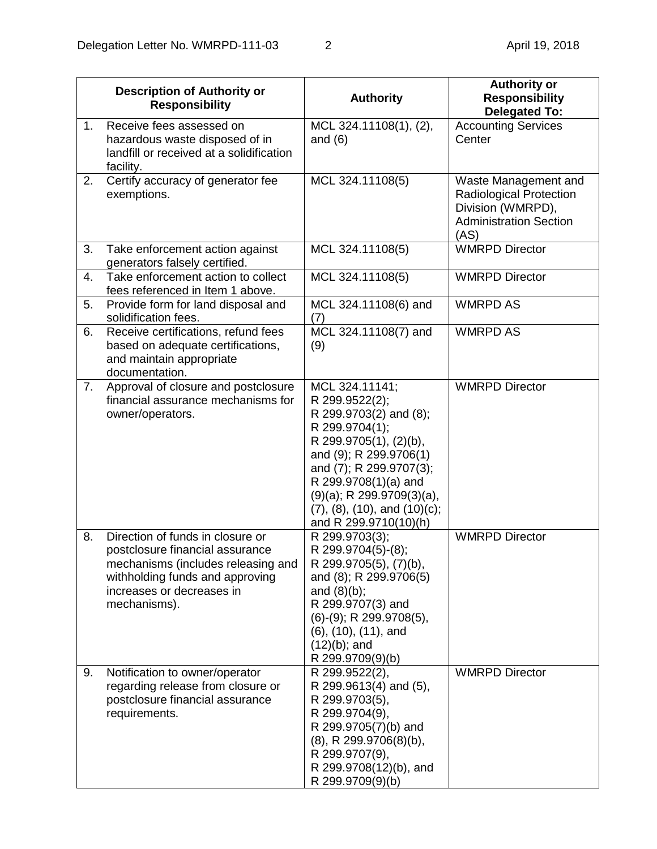|    | <b>Description of Authority or</b><br><b>Responsibility</b>                                                                                                                               | <b>Authority</b>                                                                                                                                                                                                                                                                 | <b>Authority or</b><br><b>Responsibility</b><br><b>Delegated To:</b>                                                 |
|----|-------------------------------------------------------------------------------------------------------------------------------------------------------------------------------------------|----------------------------------------------------------------------------------------------------------------------------------------------------------------------------------------------------------------------------------------------------------------------------------|----------------------------------------------------------------------------------------------------------------------|
| 1. | Receive fees assessed on<br>hazardous waste disposed of in<br>landfill or received at a solidification<br>facility.                                                                       | MCL 324.11108(1), (2),<br>and $(6)$                                                                                                                                                                                                                                              | <b>Accounting Services</b><br>Center                                                                                 |
| 2. | Certify accuracy of generator fee<br>exemptions.                                                                                                                                          | MCL 324.11108(5)                                                                                                                                                                                                                                                                 | Waste Management and<br><b>Radiological Protection</b><br>Division (WMRPD),<br><b>Administration Section</b><br>(AS) |
| 3. | Take enforcement action against<br>generators falsely certified.                                                                                                                          | MCL 324.11108(5)                                                                                                                                                                                                                                                                 | <b>WMRPD Director</b>                                                                                                |
| 4. | Take enforcement action to collect<br>fees referenced in Item 1 above.                                                                                                                    | MCL 324.11108(5)                                                                                                                                                                                                                                                                 | <b>WMRPD Director</b>                                                                                                |
| 5. | Provide form for land disposal and<br>solidification fees.                                                                                                                                | MCL 324.11108(6) and<br>(7)                                                                                                                                                                                                                                                      | <b>WMRPD AS</b>                                                                                                      |
| 6. | Receive certifications, refund fees<br>based on adequate certifications,<br>and maintain appropriate<br>documentation.                                                                    | MCL 324.11108(7) and<br>(9)                                                                                                                                                                                                                                                      | <b>WMRPD AS</b>                                                                                                      |
| 7. | Approval of closure and postclosure<br>financial assurance mechanisms for<br>owner/operators.                                                                                             | MCL 324.11141;<br>R 299.9522(2);<br>R 299.9703(2) and (8);<br>R 299.9704(1);<br>R 299.9705(1), (2)(b),<br>and (9); R 299.9706(1)<br>and (7); R 299.9707(3);<br>R 299.9708(1)(a) and<br>$(9)(a)$ ; R 299.9709 $(3)(a)$ ,<br>(7), (8), (10), and (10)(c);<br>and R 299.9710(10)(h) | <b>WMRPD Director</b>                                                                                                |
| 8. | Direction of funds in closure or<br>postclosure financial assurance<br>mechanisms (includes releasing and<br>withholding funds and approving<br>increases or decreases in<br>mechanisms). | R 299.9703(3);<br>R 299.9704(5)-(8);<br>R 299.9705(5), (7)(b),<br>and (8); R 299.9706(5)<br>and $(8)(b)$ ;<br>R 299.9707(3) and<br>$(6)-(9)$ ; R 299.9708 $(5)$ ,<br>$(6)$ , $(10)$ , $(11)$ , and<br>$(12)(b)$ ; and<br>R 299.9709(9)(b)                                        | <b>WMRPD Director</b>                                                                                                |
| 9. | Notification to owner/operator<br>regarding release from closure or<br>postclosure financial assurance<br>requirements.                                                                   | R 299.9522(2),<br>R 299.9613(4) and (5),<br>R 299.9703(5),<br>R 299.9704(9),<br>R 299.9705(7)(b) and<br>$(8)$ , R 299.9706 $(8)$ (b),<br>R 299.9707(9),<br>R 299.9708(12)(b), and<br>R 299.9709(9)(b)                                                                            | <b>WMRPD Director</b>                                                                                                |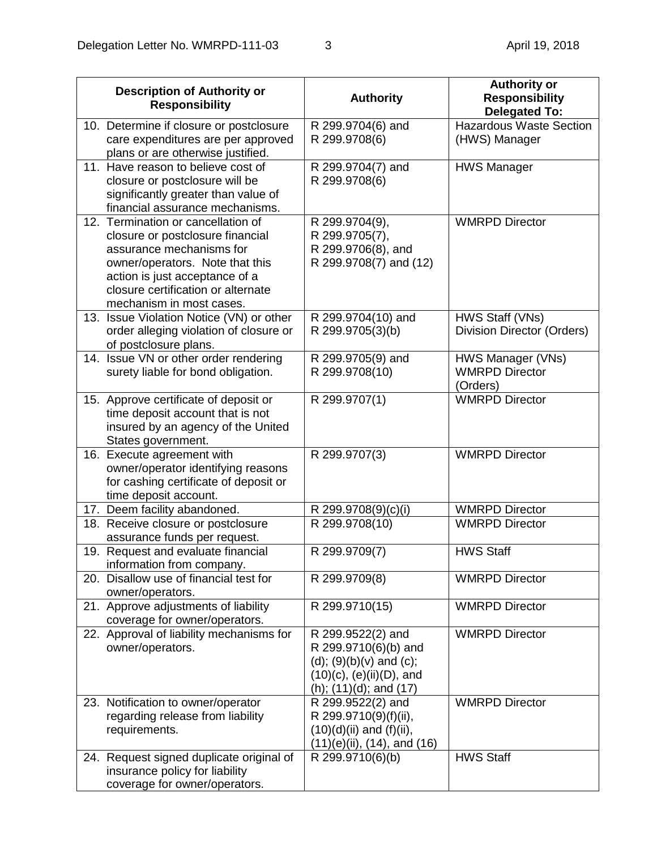| <b>Description of Authority or</b><br><b>Responsibility</b>                                                                                                                                                                               | <b>Authority</b>                                                                                                                           | <b>Authority or</b><br><b>Responsibility</b><br><b>Delegated To:</b> |
|-------------------------------------------------------------------------------------------------------------------------------------------------------------------------------------------------------------------------------------------|--------------------------------------------------------------------------------------------------------------------------------------------|----------------------------------------------------------------------|
| 10. Determine if closure or postclosure<br>care expenditures are per approved<br>plans or are otherwise justified.                                                                                                                        | R 299.9704(6) and<br>R 299.9708(6)                                                                                                         | <b>Hazardous Waste Section</b><br>(HWS) Manager                      |
| 11. Have reason to believe cost of<br>closure or postclosure will be<br>significantly greater than value of<br>financial assurance mechanisms.                                                                                            | R 299.9704(7) and<br>R 299.9708(6)                                                                                                         | <b>HWS Manager</b>                                                   |
| 12. Termination or cancellation of<br>closure or postclosure financial<br>assurance mechanisms for<br>owner/operators. Note that this<br>action is just acceptance of a<br>closure certification or alternate<br>mechanism in most cases. | R 299.9704(9),<br>R 299.9705(7),<br>R 299.9706(8), and<br>R 299.9708(7) and (12)                                                           | <b>WMRPD Director</b>                                                |
| 13. Issue Violation Notice (VN) or other<br>order alleging violation of closure or<br>of postclosure plans.                                                                                                                               | R 299.9704(10) and<br>R 299.9705(3)(b)                                                                                                     | HWS Staff (VNs)<br><b>Division Director (Orders)</b>                 |
| 14. Issue VN or other order rendering<br>surety liable for bond obligation.                                                                                                                                                               | R 299.9705(9) and<br>R 299.9708(10)                                                                                                        | HWS Manager (VNs)<br><b>WMRPD Director</b><br>(Orders)               |
| 15. Approve certificate of deposit or<br>time deposit account that is not<br>insured by an agency of the United<br>States government.                                                                                                     | R 299.9707(1)                                                                                                                              | <b>WMRPD Director</b>                                                |
| 16. Execute agreement with<br>owner/operator identifying reasons<br>for cashing certificate of deposit or<br>time deposit account.                                                                                                        | R 299.9707(3)                                                                                                                              | <b>WMRPD Director</b>                                                |
| 17. Deem facility abandoned.                                                                                                                                                                                                              | R 299.9708(9)(c)(i)                                                                                                                        | <b>WMRPD Director</b>                                                |
| 18. Receive closure or postclosure<br>assurance funds per request.                                                                                                                                                                        | R 299.9708(10)                                                                                                                             | <b>WMRPD Director</b>                                                |
| 19. Request and evaluate financial<br>information from company.                                                                                                                                                                           | R 299.9709(7)                                                                                                                              | <b>HWS Staff</b>                                                     |
| 20. Disallow use of financial test for<br>owner/operators.                                                                                                                                                                                | R 299.9709(8)                                                                                                                              | <b>WMRPD Director</b>                                                |
| 21. Approve adjustments of liability<br>coverage for owner/operators.                                                                                                                                                                     | R 299.9710(15)                                                                                                                             | <b>WMRPD Director</b>                                                |
| 22. Approval of liability mechanisms for<br>owner/operators.                                                                                                                                                                              | R 299.9522(2) and<br>R 299.9710(6)(b) and<br>(d); $(9)(b)(v)$ and $(c)$ ;<br>$(10)(c)$ , $(e)(ii)(D)$ , and<br>(h); $(11)(d)$ ; and $(17)$ | <b>WMRPD Director</b>                                                |
| 23. Notification to owner/operator<br>regarding release from liability<br>requirements.                                                                                                                                                   | R 299.9522(2) and<br>R 299.9710(9)(f)(ii),<br>$(10)(d)(ii)$ and $(f)(ii)$ ,<br>$(11)(e)(ii)$ , $(14)$ , and $(16)$                         | <b>WMRPD Director</b>                                                |
| 24. Request signed duplicate original of<br>insurance policy for liability<br>coverage for owner/operators.                                                                                                                               | R 299.9710(6)(b)                                                                                                                           | <b>HWS Staff</b>                                                     |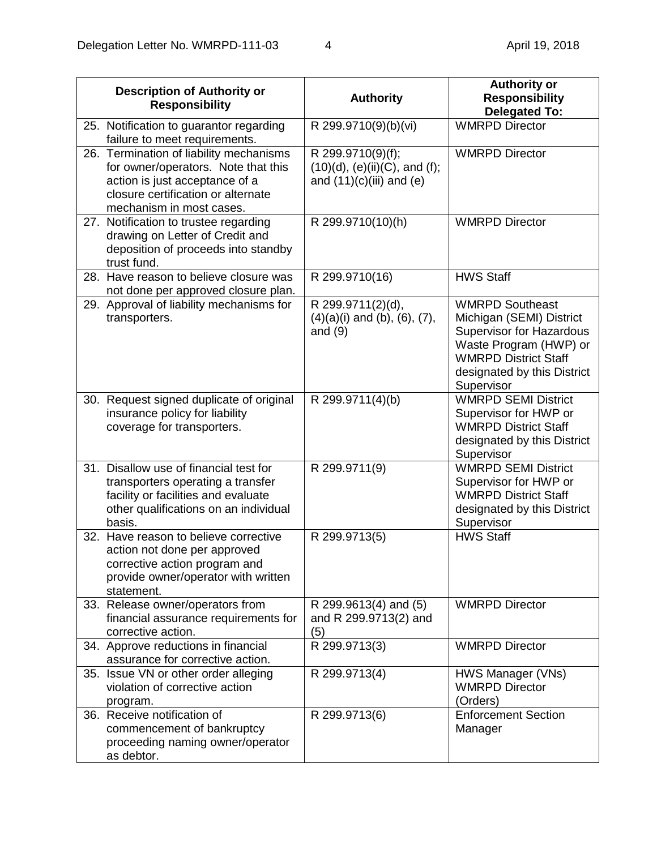| <b>Description of Authority or</b><br><b>Responsibility</b>                                                                                                                        | <b>Authority</b>                                                                            | <b>Authority or</b><br><b>Responsibility</b><br><b>Delegated To:</b>                                                                                                                        |
|------------------------------------------------------------------------------------------------------------------------------------------------------------------------------------|---------------------------------------------------------------------------------------------|---------------------------------------------------------------------------------------------------------------------------------------------------------------------------------------------|
| 25. Notification to guarantor regarding<br>failure to meet requirements.                                                                                                           | R 299.9710(9)(b)(vi)                                                                        | <b>WMRPD Director</b>                                                                                                                                                                       |
| 26. Termination of liability mechanisms<br>for owner/operators. Note that this<br>action is just acceptance of a<br>closure certification or alternate<br>mechanism in most cases. | R 299.9710(9)(f);<br>$(10)(d)$ , $(e)(ii)(C)$ , and $(f)$ ;<br>and $(11)(c)(iii)$ and $(e)$ | <b>WMRPD Director</b>                                                                                                                                                                       |
| 27. Notification to trustee regarding<br>drawing on Letter of Credit and<br>deposition of proceeds into standby<br>trust fund.                                                     | R 299.9710(10)(h)                                                                           | <b>WMRPD Director</b>                                                                                                                                                                       |
| 28. Have reason to believe closure was<br>not done per approved closure plan.                                                                                                      | R 299.9710(16)                                                                              | <b>HWS Staff</b>                                                                                                                                                                            |
| 29. Approval of liability mechanisms for<br>transporters.                                                                                                                          | R 299.9711(2)(d),<br>$(4)(a)(i)$ and $(b)$ , $(6)$ , $(7)$ ,<br>and $(9)$                   | <b>WMRPD Southeast</b><br>Michigan (SEMI) District<br><b>Supervisor for Hazardous</b><br>Waste Program (HWP) or<br><b>WMRPD District Staff</b><br>designated by this District<br>Supervisor |
| 30. Request signed duplicate of original<br>insurance policy for liability<br>coverage for transporters.                                                                           | R 299.9711(4)(b)                                                                            | <b>WMRPD SEMI District</b><br>Supervisor for HWP or<br><b>WMRPD District Staff</b><br>designated by this District<br>Supervisor                                                             |
| 31. Disallow use of financial test for<br>transporters operating a transfer<br>facility or facilities and evaluate<br>other qualifications on an individual<br>basis.              | R 299.9711(9)                                                                               | <b>WMRPD SEMI District</b><br>Supervisor for HWP or<br><b>WMRPD District Staff</b><br>designated by this District<br>Supervisor                                                             |
| 32. Have reason to believe corrective<br>action not done per approved<br>corrective action program and<br>provide owner/operator with written<br>statement.                        | R 299.9713(5)                                                                               | <b>HWS Staff</b>                                                                                                                                                                            |
| 33. Release owner/operators from<br>financial assurance requirements for<br>corrective action.                                                                                     | R 299.9613(4) and (5)<br>and R 299.9713(2) and<br>(5)                                       | <b>WMRPD Director</b>                                                                                                                                                                       |
| 34. Approve reductions in financial<br>assurance for corrective action.                                                                                                            | R 299.9713(3)                                                                               | <b>WMRPD Director</b>                                                                                                                                                                       |
| 35. Issue VN or other order alleging<br>violation of corrective action<br>program.                                                                                                 | R 299.9713(4)                                                                               | HWS Manager (VNs)<br><b>WMRPD Director</b><br>(Orders)                                                                                                                                      |
| 36. Receive notification of<br>commencement of bankruptcy<br>proceeding naming owner/operator<br>as debtor.                                                                        | R 299.9713(6)                                                                               | <b>Enforcement Section</b><br>Manager                                                                                                                                                       |